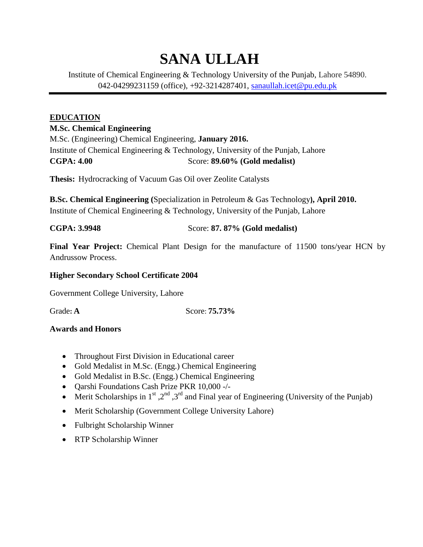# **SANA ULLAH**

Institute of Chemical Engineering & Technology University of the Punjab, Lahore 54890. 042-04299231159 (office), +92-3214287401, [sanaullah.icet@pu.edu.pk](mailto:sanaullah.icet@pu.edu.pk)

## **EDUCATION**

#### **M.Sc. Chemical Engineering**

M.Sc. (Engineering) Chemical Engineering, **January 2016.** Institute of Chemical Engineering & Technology, University of the Punjab, Lahore **CGPA: 4.00** Score: **89.60% (Gold medalist)**

**Thesis:** Hydrocracking of Vacuum Gas Oil over Zeolite Catalysts

**B.Sc. Chemical Engineering (**Specialization in Petroleum & Gas Technology**), April 2010.** Institute of Chemical Engineering & Technology, University of the Punjab, Lahore

**CGPA: 3.9948** Score: **87. 87% (Gold medalist)**

**Final Year Project:** Chemical Plant Design for the manufacture of 11500 tons/year HCN by Andrussow Process.

#### **Higher Secondary School Certificate 2004**

Government College University, Lahore

Grade**: A** Score: **75.73%**

#### **Awards and Honors**

- Throughout First Division in Educational career
- Gold Medalist in M.Sc. (Engg.) Chemical Engineering
- Gold Medalist in B.Sc. (Engg.) Chemical Engineering
- Qarshi Foundations Cash Prize PKR 10,000 -/-
- Merit Scholarships in 1<sup>st</sup>, 2<sup>nd</sup>, 3<sup>rd</sup> and Final year of Engineering (University of the Punjab)
- Merit Scholarship (Government College University Lahore)
- Fulbright Scholarship Winner
- RTP Scholarship Winner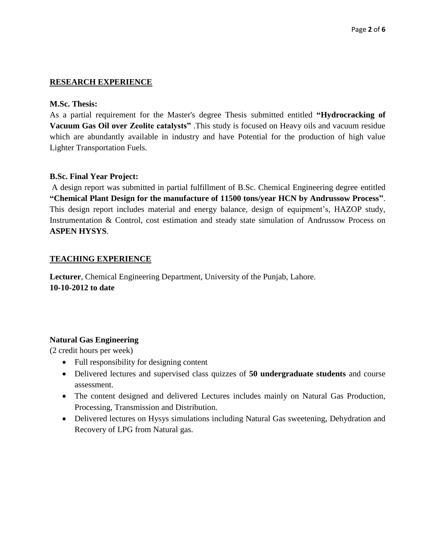#### **RESEARCH EXPERIENCE**

#### **M.Sc. Thesis:**

As a partial requirement for the Master's degree Thesis submitted entitled **"Hydrocracking of Vacuum Gas Oil over Zeolite catalysts"** .This study is focused on Heavy oils and vacuum residue which are abundantly available in industry and have Potential for the production of high value Lighter Transportation Fuels.

#### **B.Sc. Final Year Project:**

A design report was submitted in partial fulfillment of B.Sc. Chemical Engineering degree entitled **"Chemical Plant Design for the manufacture of 11500 tons/year HCN by Andrussow Process"**. This design report includes material and energy balance, design of equipment's, HAZOP study, Instrumentation & Control, cost estimation and steady state simulation of Andrussow Process on **ASPEN HYSYS**.

#### **TEACHING EXPERIENCE**

**Lecturer**, Chemical Engineering Department, University of the Punjab, Lahore. **10-10-2012 to date**

#### **Natural Gas Engineering**

(2 credit hours per week)

- Full responsibility for designing content
- Delivered lectures and supervised class quizzes of **50 undergraduate students** and course assessment.
- The content designed and delivered Lectures includes mainly on Natural Gas Production, Processing, Transmission and Distribution.
- Delivered lectures on Hysys simulations including Natural Gas sweetening, Dehydration and Recovery of LPG from Natural gas.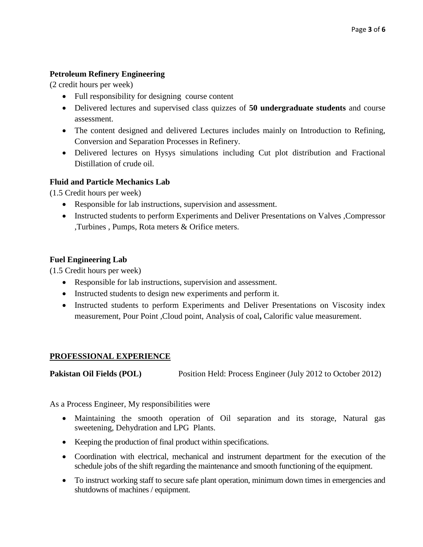### **Petroleum Refinery Engineering**

(2 credit hours per week)

- Full responsibility for designing course content
- Delivered lectures and supervised class quizzes of **50 undergraduate students** and course assessment.
- The content designed and delivered Lectures includes mainly on Introduction to Refining, Conversion and Separation Processes in Refinery.
- Delivered lectures on Hysys simulations including Cut plot distribution and Fractional Distillation of crude oil.

#### **Fluid and Particle Mechanics Lab**

(1.5 Credit hours per week)

- Responsible for lab instructions, supervision and assessment.
- Instructed students to perform Experiments and Deliver Presentations on Valves , Compressor ,Turbines , Pumps, Rota meters & Orifice meters.

#### **Fuel Engineering Lab**

(1.5 Credit hours per week)

- Responsible for lab instructions, supervision and assessment.
- Instructed students to design new experiments and perform it.
- Instructed students to perform Experiments and Deliver Presentations on Viscosity index measurement, Pour Point ,Cloud point, Analysis of coal**,** Calorific value measurement.

#### **PROFESSIONAL EXPERIENCE**

**Pakistan Oil Fields (POL)** Position Held: Process Engineer (July 2012 to October 2012)

As a Process Engineer, My responsibilities were

- Maintaining the smooth operation of Oil separation and its storage, Natural gas sweetening, Dehydration and LPG Plants.
- Keeping the production of final product within specifications.
- Coordination with electrical, mechanical and instrument department for the execution of the schedule jobs of the shift regarding the maintenance and smooth functioning of the equipment.
- To instruct working staff to secure safe plant operation, minimum down times in emergencies and shutdowns of machines / equipment.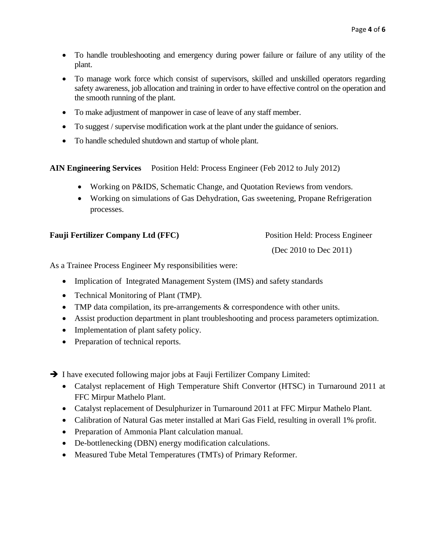- To handle troubleshooting and emergency during power failure or failure of any utility of the plant.
- To manage work force which consist of supervisors, skilled and unskilled operators regarding safety awareness, job allocation and training in order to have effective control on the operation and the smooth running of the plant.
- To make adjustment of manpower in case of leave of any staff member.
- To suggest / supervise modification work at the plant under the guidance of seniors.
- To handle scheduled shutdown and startup of whole plant.

**AIN Engineering Services** Position Held: Process Engineer (Feb 2012 to July 2012)

- Working on P&IDS, Schematic Change, and Quotation Reviews from vendors.
- Working on simulations of Gas Dehydration, Gas sweetening, Propane Refrigeration processes.

#### **Fauji Fertilizer Company Ltd (FFC)** Position Held: Process Engineer

(Dec 2010 to Dec 2011)

As a Trainee Process Engineer My responsibilities were:

- Implication of Integrated Management System (IMS) and safety standards
- Technical Monitoring of Plant (TMP).
- TMP data compilation, its pre-arrangements  $&$  correspondence with other units.
- Assist production department in plant troubleshooting and process parameters optimization.
- Implementation of plant safety policy.
- Preparation of technical reports.

 $\rightarrow$  I have executed following major jobs at Fauji Fertilizer Company Limited:

- Catalyst replacement of High Temperature Shift Convertor (HTSC) in Turnaround 2011 at FFC Mirpur Mathelo Plant.
- Catalyst replacement of Desulphurizer in Turnaround 2011 at FFC Mirpur Mathelo Plant.
- Calibration of Natural Gas meter installed at Mari Gas Field, resulting in overall 1% profit.
- Preparation of Ammonia Plant calculation manual.
- De-bottlenecking (DBN) energy modification calculations.
- Measured Tube Metal Temperatures (TMTs) of Primary Reformer.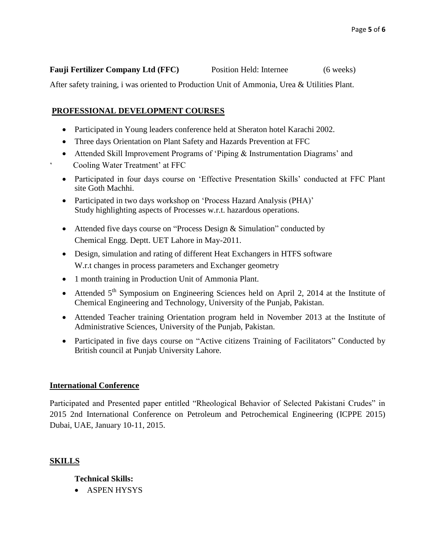#### **Fauji Fertilizer Company Ltd (FFC)** Position Held: Internee (6 weeks)

After safety training, i was oriented to Production Unit of Ammonia, Urea & Utilities Plant.

#### **PROFESSIONAL DEVELOPMENT COURSES**

- Participated in Young leaders conference held at Sheraton hotel Karachi 2002.
- Three days Orientation on Plant Safety and Hazards Prevention at FFC
- Attended Skill Improvement Programs of 'Piping & Instrumentation Diagrams' and Cooling Water Treatment' at FFC
- Participated in four days course on 'Effective Presentation Skills' conducted at FFC Plant site Goth Machhi.
- Participated in two days workshop on 'Process Hazard Analysis (PHA)' Study highlighting aspects of Processes w.r.t. hazardous operations.
- Attended five days course on "Process Design & Simulation" conducted by Chemical Engg. Deptt. UET Lahore in May-2011.
- Design, simulation and rating of different Heat Exchangers in HTFS software W.r.t changes in process parameters and Exchanger geometry
- 1 month training in Production Unit of Ammonia Plant.
- Attended  $5<sup>th</sup>$  Symposium on Engineering Sciences held on April 2, 2014 at the Institute of Chemical Engineering and Technology, University of the Punjab, Pakistan.
- Attended Teacher training Orientation program held in November 2013 at the Institute of Administrative Sciences, University of the Punjab, Pakistan.
- Participated in five days course on "Active citizens Training of Facilitators" Conducted by British council at Punjab University Lahore.

#### **International Conference**

Participated and Presented paper entitled "Rheological Behavior of Selected Pakistani Crudes" in 2015 2nd International Conference on Petroleum and Petrochemical Engineering (ICPPE 2015) Dubai, UAE, January 10-11, 2015.

#### **SKILLS**

#### **Technical Skills:**

• ASPEN HYSYS